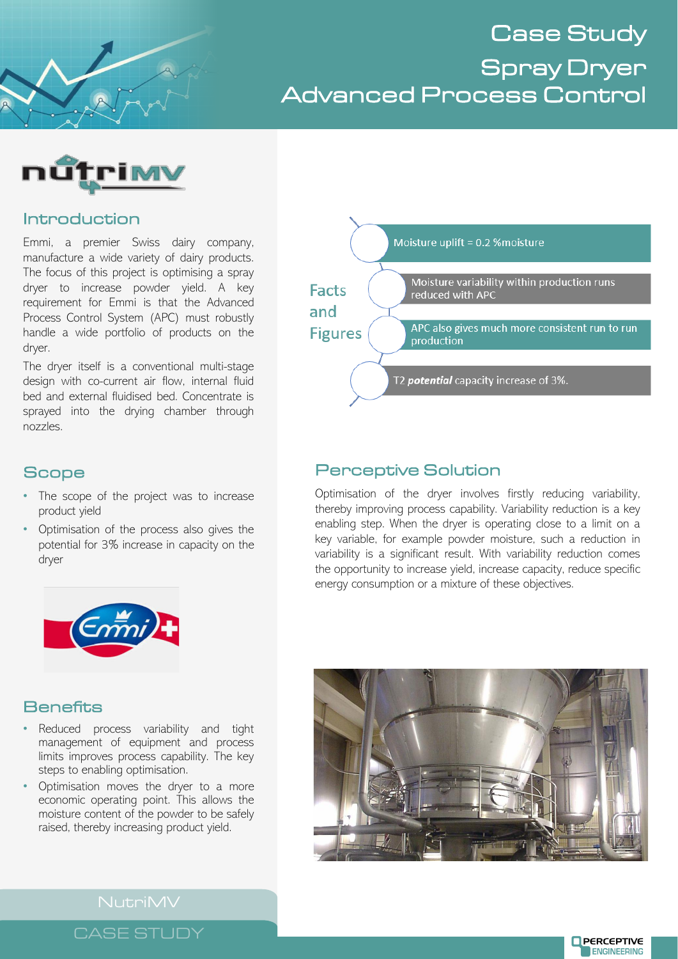Case Study Spray Dryer Advanced Process Control



## Introduction

Emmi, a premier Swiss dairy company, manufacture a wide variety of dairy products. The focus of this project is optimising a spray dryer to increase powder yield. A key requirement for Emmi is that the Advanced Process Control System (APC) must robustly handle a wide portfolio of products on the dryer.

The dryer itself is a conventional multi-stage design with co-current air flow, internal fluid bed and external fluidised bed. Concentrate is sprayed into the drying chamber through nozzles.

# **Scope**

- The scope of the project was to increase product yield
- Optimisation of the process also gives the potential for 3% increase in capacity on the dryer



# Perceptive Solution

Optimisation of the dryer involves firstly reducing variability, thereby improving process capability. Variability reduction is a key enabling step. When the dryer is operating close to a limit on a key variable, for example powder moisture, such a reduction in variability is a significant result. With variability reduction comes the opportunity to increase yield, increase capacity, reduce specific energy consumption or a mixture of these objectives.



## **Benefits**

- Reduced process variability and tight management of equipment and process limits improves process capability. The key steps to enabling optimisation.
- Optimisation moves the dryer to a more economic operating point. This allows the moisture content of the powder to be safely raised, thereby increasing product yield.



NutriMV

CASE STUDY